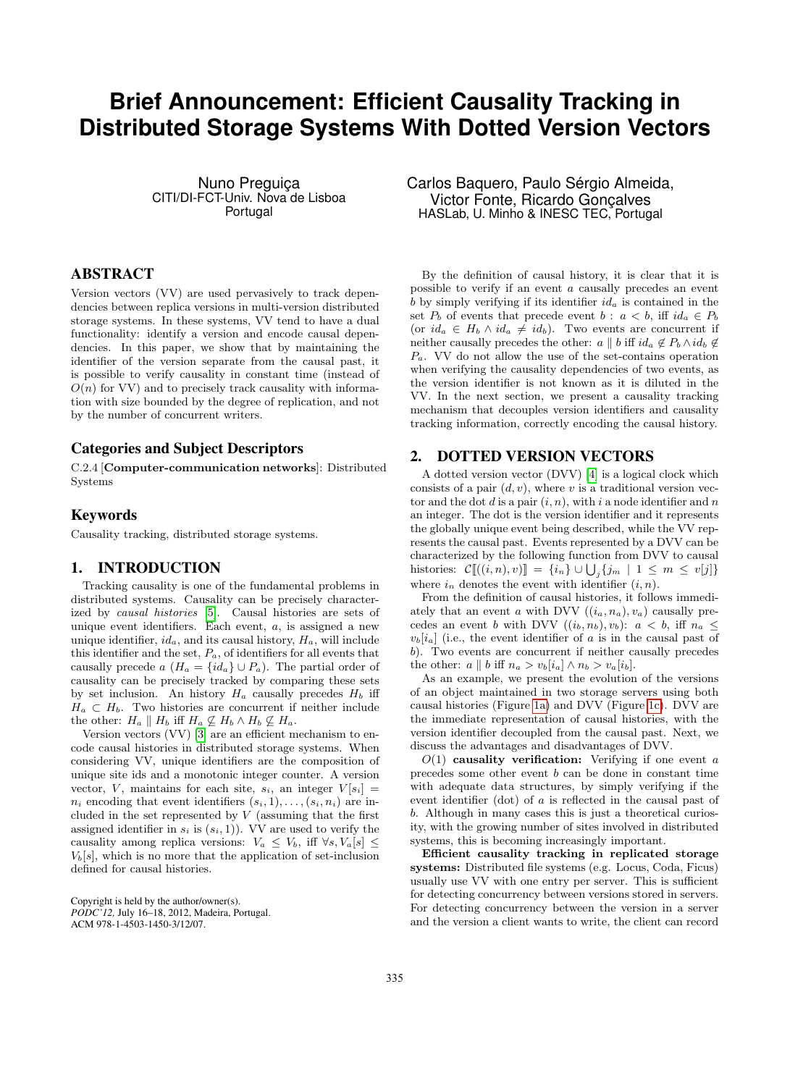# **Brief Announcement: Efficient Causality Tracking in Distributed Storage Systems With Dotted Version Vectors**

Nuno Preguiça CITI/DI-FCT-Univ. Nova de Lisboa Portugal

# ABSTRACT

Version vectors (VV) are used pervasively to track dependencies between replica versions in multi-version distributed storage systems. In these systems, VV tend to have a dual functionality: identify a version and encode causal dependencies. In this paper, we show that by maintaining the identifier of the version separate from the causal past, it is possible to verify causality in constant time (instead of  $O(n)$  for VV) and to precisely track causality with information with size bounded by the degree of replication, and not by the number of concurrent writers.

## Categories and Subject Descriptors

C.2.4 [Computer-communication networks]: Distributed Systems

#### Keywords

Causality tracking, distributed storage systems.

## 1. INTRODUCTION

Tracking causality is one of the fundamental problems in distributed systems. Causality can be precisely characterized by causal histories [\[5\]](#page-1-0). Causal histories are sets of unique event identifiers. Each event,  $a$ , is assigned a new unique identifier,  $id_a$ , and its causal history,  $H_a$ , will include this identifier and the set,  $P_a$ , of identifiers for all events that causally precede a  $(H_a = \{id_a\} \cup P_a)$ . The partial order of causality can be precisely tracked by comparing these sets by set inclusion. An history  $H_a$  causally precedes  $H_b$  iff  $H_a \subset H_b$ . Two histories are concurrent if neither include the other:  $H_a \parallel H_b$  iff  $H_a \not\subseteq H_b \wedge H_b \not\subseteq H_a$ .

Version vectors (VV) [\[3\]](#page-1-1) are an efficient mechanism to encode causal histories in distributed storage systems. When considering VV, unique identifiers are the composition of unique site ids and a monotonic integer counter. A version vector, V, maintains for each site,  $s_i$ , an integer  $V[s_i] =$  $n_i$  encoding that event identifiers  $(s_i, 1), \ldots, (s_i, n_i)$  are included in the set represented by  $V$  (assuming that the first assigned identifier in  $s_i$  is  $(s_i, 1)$ ). VV are used to verify the causality among replica versions:  $V_a \leq V_b$ , iff  $\forall s, V_a[s] \leq$  $V<sub>b</sub>[s]$ , which is no more that the application of set-inclusion defined for causal histories.

Copyright is held by the author/owner(s).

*PODC'12,* July 16–18, 2012, Madeira, Portugal. ACM 978-1-4503-1450-3/12/07.

Carlos Baquero, Paulo Sérgio Almeida, Victor Fonte, Ricardo Gonçalves HASLab, U. Minho & INESC TEC, Portugal

By the definition of causal history, it is clear that it is possible to verify if an event a causally precedes an event b by simply verifying if its identifier  $id_a$  is contained in the set  $P_b$  of events that precede event  $b : a < b$ , iff  $id_a \in P_b$ (or  $id_a \in H_b \wedge id_a \neq id_b$ ). Two events are concurrent if neither causally precedes the other:  $a \parallel b$  iff  $id_a \notin P_b \wedge id_b \notin$  $P_a$ . VV do not allow the use of the set-contains operation when verifying the causality dependencies of two events, as the version identifier is not known as it is diluted in the VV. In the next section, we present a causality tracking mechanism that decouples version identifiers and causality tracking information, correctly encoding the causal history.

# 2. DOTTED VERSION VECTORS

A dotted version vector (DVV) [\[4\]](#page-1-2) is a logical clock which consists of a pair  $(d, v)$ , where v is a traditional version vector and the dot d is a pair  $(i, n)$ , with i a node identifier and n an integer. The dot is the version identifier and it represents the globally unique event being described, while the VV represents the causal past. Events represented by a DVV can be characterized by the following function from DVV to causal histories:  $\mathcal{C}[(i,n),v)] = \{i_n\} \cup \bigcup_j \{j_m \mid 1 \leq m \leq v[j]\}$ where  $i_n$  denotes the event with identifier  $(i, n)$ .

From the definition of causal histories, it follows immediately that an event a with DVV  $((i_a, n_a), v_a)$  causally precedes an event b with DVV  $((i_b, n_b), v_b): a < b$ , iff  $n_a <$  $v<sub>b</sub>$ [i<sub>a</sub>] (i.e., the event identifier of a is in the causal past of b). Two events are concurrent if neither causally precedes the other:  $a \parallel b$  iff  $n_a > v_b[i_a] \wedge n_b > v_a[i_b]$ .

As an example, we present the evolution of the versions of an object maintained in two storage servers using both causal histories (Figure [1a\)](#page-1-3) and DVV (Figure [1c\)](#page-1-4). DVV are the immediate representation of causal histories, with the version identifier decoupled from the causal past. Next, we discuss the advantages and disadvantages of DVV.

 $O(1)$  causality verification: Verifying if one event a precedes some other event b can be done in constant time with adequate data structures, by simply verifying if the event identifier (dot) of a is reflected in the causal past of b. Although in many cases this is just a theoretical curiosity, with the growing number of sites involved in distributed systems, this is becoming increasingly important.

Efficient causality tracking in replicated storage systems: Distributed file systems (e.g. Locus, Coda, Ficus) usually use VV with one entry per server. This is sufficient for detecting concurrency between versions stored in servers. For detecting concurrency between the version in a server and the version a client wants to write, the client can record